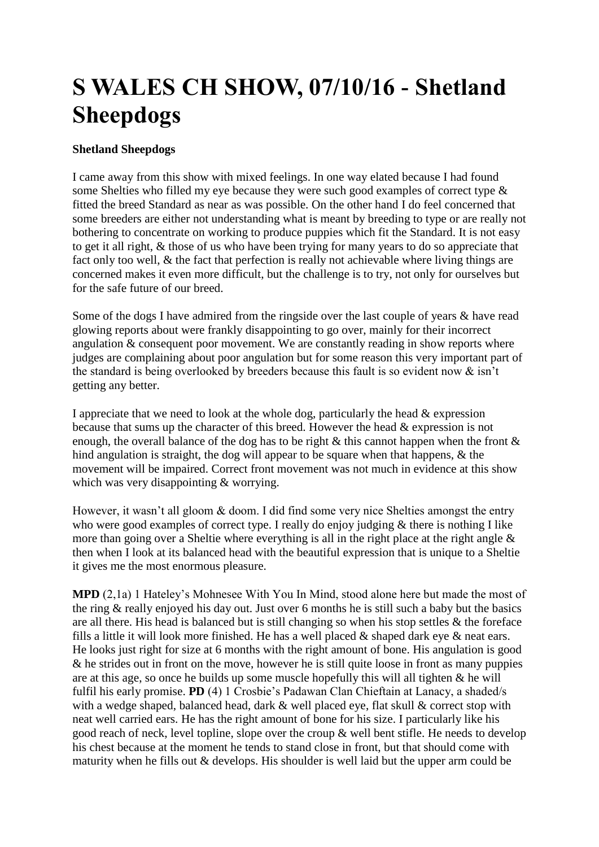## **S WALES CH SHOW, 07/10/16 - Shetland Sheepdogs**

## **Shetland Sheepdogs**

I came away from this show with mixed feelings. In one way elated because I had found some Shelties who filled my eye because they were such good examples of correct type & fitted the breed Standard as near as was possible. On the other hand I do feel concerned that some breeders are either not understanding what is meant by breeding to type or are really not bothering to concentrate on working to produce puppies which fit the Standard. It is not easy to get it all right, & those of us who have been trying for many years to do so appreciate that fact only too well. & the fact that perfection is really not achievable where living things are concerned makes it even more difficult, but the challenge is to try, not only for ourselves but for the safe future of our breed.

Some of the dogs I have admired from the ringside over the last couple of years & have read glowing reports about were frankly disappointing to go over, mainly for their incorrect angulation & consequent poor movement. We are constantly reading in show reports where judges are complaining about poor angulation but for some reason this very important part of the standard is being overlooked by breeders because this fault is so evident now  $\&$  isn't getting any better.

I appreciate that we need to look at the whole dog, particularly the head & expression because that sums up the character of this breed. However the head & expression is not enough, the overall balance of the dog has to be right  $\&$  this cannot happen when the front  $\&$ hind angulation is straight, the dog will appear to be square when that happens, & the movement will be impaired. Correct front movement was not much in evidence at this show which was very disappointing & worrying.

However, it wasn't all gloom & doom. I did find some very nice Shelties amongst the entry who were good examples of correct type. I really do enjoy judging & there is nothing I like more than going over a Sheltie where everything is all in the right place at the right angle  $\&$ then when I look at its balanced head with the beautiful expression that is unique to a Sheltie it gives me the most enormous pleasure.

**MPD** (2,1a) 1 Hateley's Mohnesee With You In Mind, stood alone here but made the most of the ring & really enjoyed his day out. Just over 6 months he is still such a baby but the basics are all there. His head is balanced but is still changing so when his stop settles & the foreface fills a little it will look more finished. He has a well placed  $\&$  shaped dark eye  $\&$  neat ears. He looks just right for size at 6 months with the right amount of bone. His angulation is good & he strides out in front on the move, however he is still quite loose in front as many puppies are at this age, so once he builds up some muscle hopefully this will all tighten  $\&$  he will fulfil his early promise. **PD** (4) 1 Crosbie's Padawan Clan Chieftain at Lanacy, a shaded/s with a wedge shaped, balanced head, dark & well placed eye, flat skull & correct stop with neat well carried ears. He has the right amount of bone for his size. I particularly like his good reach of neck, level topline, slope over the croup & well bent stifle. He needs to develop his chest because at the moment he tends to stand close in front, but that should come with maturity when he fills out & develops. His shoulder is well laid but the upper arm could be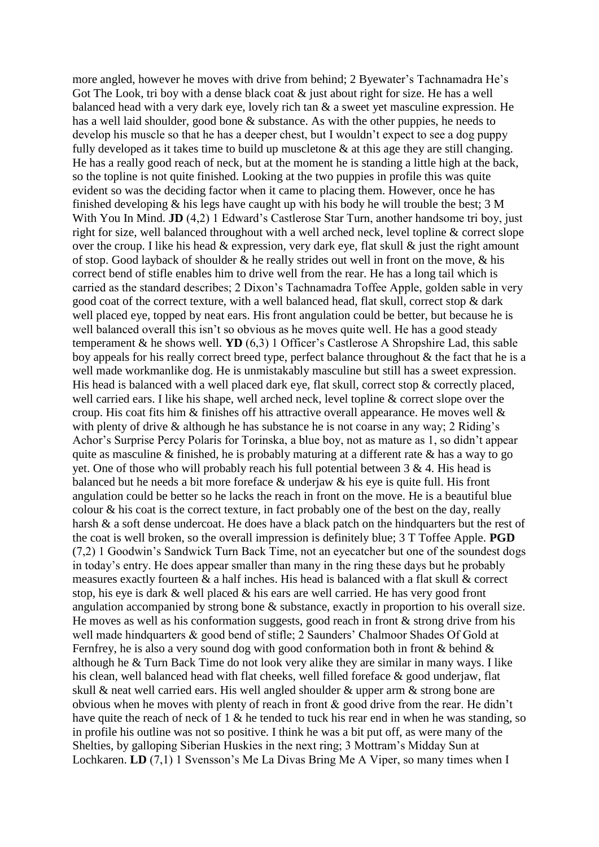more angled, however he moves with drive from behind; 2 Byewater's Tachnamadra He's Got The Look, tri boy with a dense black coat  $\&$  just about right for size. He has a well balanced head with a very dark eye, lovely rich tan & a sweet yet masculine expression. He has a well laid shoulder, good bone & substance. As with the other puppies, he needs to develop his muscle so that he has a deeper chest, but I wouldn't expect to see a dog puppy fully developed as it takes time to build up muscletone  $\&$  at this age they are still changing. He has a really good reach of neck, but at the moment he is standing a little high at the back, so the topline is not quite finished. Looking at the two puppies in profile this was quite evident so was the deciding factor when it came to placing them. However, once he has finished developing & his legs have caught up with his body he will trouble the best; 3 M With You In Mind. **JD** (4,2) 1 Edward's Castlerose Star Turn, another handsome tri boy, just right for size, well balanced throughout with a well arched neck, level topline & correct slope over the croup. I like his head  $\&$  expression, very dark eye, flat skull  $\&$  just the right amount of stop. Good layback of shoulder & he really strides out well in front on the move, & his correct bend of stifle enables him to drive well from the rear. He has a long tail which is carried as the standard describes; 2 Dixon's Tachnamadra Toffee Apple, golden sable in very good coat of the correct texture, with a well balanced head, flat skull, correct stop & dark well placed eye, topped by neat ears. His front angulation could be better, but because he is well balanced overall this isn't so obvious as he moves quite well. He has a good steady temperament & he shows well. **YD** (6,3) 1 Officer's Castlerose A Shropshire Lad, this sable boy appeals for his really correct breed type, perfect balance throughout & the fact that he is a well made workmanlike dog. He is unmistakably masculine but still has a sweet expression. His head is balanced with a well placed dark eye, flat skull, correct stop & correctly placed, well carried ears. I like his shape, well arched neck, level topline & correct slope over the croup. His coat fits him & finishes off his attractive overall appearance. He moves well & with plenty of drive & although he has substance he is not coarse in any way; 2 Riding's Achor's Surprise Percy Polaris for Torinska, a blue boy, not as mature as 1, so didn't appear quite as masculine  $\&$  finished, he is probably maturing at a different rate  $\&$  has a way to go yet. One of those who will probably reach his full potential between 3 & 4. His head is balanced but he needs a bit more foreface & underjaw & his eye is quite full. His front angulation could be better so he lacks the reach in front on the move. He is a beautiful blue colour  $\&$  his coat is the correct texture, in fact probably one of the best on the day, really harsh & a soft dense undercoat. He does have a black patch on the hindquarters but the rest of the coat is well broken, so the overall impression is definitely blue; 3 T Toffee Apple. **PGD** (7,2) 1 Goodwin's Sandwick Turn Back Time, not an eyecatcher but one of the soundest dogs in today's entry. He does appear smaller than many in the ring these days but he probably measures exactly fourteen & a half inches. His head is balanced with a flat skull & correct stop, his eye is dark & well placed & his ears are well carried. He has very good front angulation accompanied by strong bone & substance, exactly in proportion to his overall size. He moves as well as his conformation suggests, good reach in front  $\&$  strong drive from his well made hindquarters & good bend of stifle; 2 Saunders' Chalmoor Shades Of Gold at Fernfrey, he is also a very sound dog with good conformation both in front & behind & although he & Turn Back Time do not look very alike they are similar in many ways. I like his clean, well balanced head with flat cheeks, well filled foreface & good underjaw, flat skull & neat well carried ears. His well angled shoulder & upper arm & strong bone are obvious when he moves with plenty of reach in front & good drive from the rear. He didn't have quite the reach of neck of 1 & he tended to tuck his rear end in when he was standing, so in profile his outline was not so positive. I think he was a bit put off, as were many of the Shelties, by galloping Siberian Huskies in the next ring; 3 Mottram's Midday Sun at Lochkaren. **LD** (7,1) 1 Svensson's Me La Divas Bring Me A Viper, so many times when I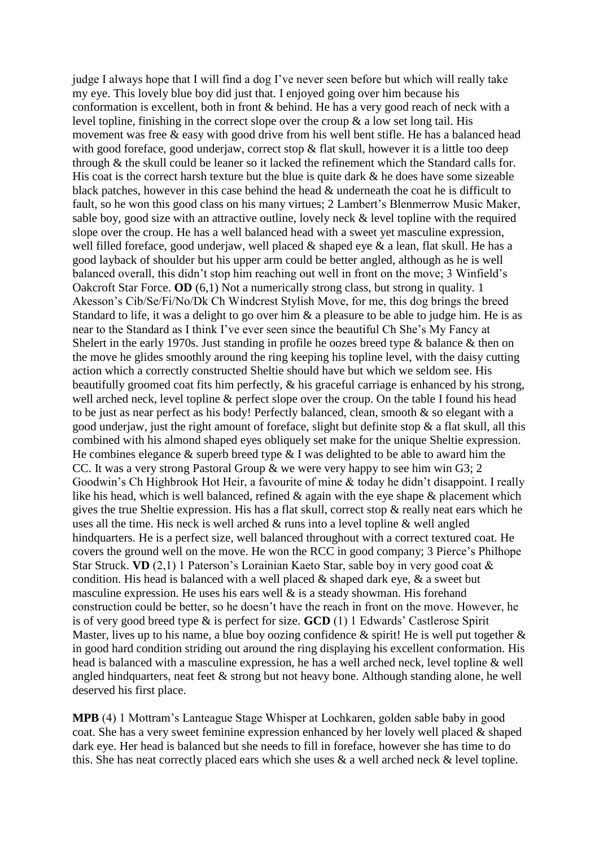judge I always hope that I will find a dog I've never seen before but which will really take my eye. This lovely blue boy did just that. I enjoyed going over him because his conformation is excellent, both in front & behind. He has a very good reach of neck with a level topline, finishing in the correct slope over the croup  $\&$  a low set long tail. His movement was free & easy with good drive from his well bent stifle. He has a balanced head with good foreface, good underjaw, correct stop  $\&$  flat skull, however it is a little too deep through & the skull could be leaner so it lacked the refinement which the Standard calls for. His coat is the correct harsh texture but the blue is quite dark  $\&$  he does have some sizeable black patches, however in this case behind the head & underneath the coat he is difficult to fault, so he won this good class on his many virtues; 2 Lambert's Blenmerrow Music Maker, sable boy, good size with an attractive outline, lovely neck & level topline with the required slope over the croup. He has a well balanced head with a sweet yet masculine expression, well filled foreface, good underjaw, well placed & shaped eye & a lean, flat skull. He has a good layback of shoulder but his upper arm could be better angled, although as he is well balanced overall, this didn't stop him reaching out well in front on the move; 3 Winfield's Oakcroft Star Force. **OD** (6,1) Not a numerically strong class, but strong in quality. 1 Akesson's Cib/Se/Fi/No/Dk Ch Windcrest Stylish Move, for me, this dog brings the breed Standard to life, it was a delight to go over him  $\&$  a pleasure to be able to judge him. He is as near to the Standard as I think I've ever seen since the beautiful Ch She's My Fancy at Shelert in the early 1970s. Just standing in profile he oozes breed type & balance & then on the move he glides smoothly around the ring keeping his topline level, with the daisy cutting action which a correctly constructed Sheltie should have but which we seldom see. His beautifully groomed coat fits him perfectly, & his graceful carriage is enhanced by his strong, well arched neck, level topline & perfect slope over the croup. On the table I found his head to be just as near perfect as his body! Perfectly balanced, clean, smooth & so elegant with a good underjaw, just the right amount of foreface, slight but definite stop  $\&$  a flat skull, all this combined with his almond shaped eyes obliquely set make for the unique Sheltie expression. He combines elegance  $\&$  superb breed type  $\&$  I was delighted to be able to award him the CC. It was a very strong Pastoral Group & we were very happy to see him win G3; 2 Goodwin's Ch Highbrook Hot Heir, a favourite of mine & today he didn't disappoint. I really like his head, which is well balanced, refined  $\&$  again with the eye shape  $\&$  placement which gives the true Sheltie expression. His has a flat skull, correct stop & really neat ears which he uses all the time. His neck is well arched & runs into a level topline & well angled hindquarters. He is a perfect size, well balanced throughout with a correct textured coat. He covers the ground well on the move. He won the RCC in good company; 3 Pierce's Philhope Star Struck. **VD** (2,1) 1 Paterson's Lorainian Kaeto Star, sable boy in very good coat & condition. His head is balanced with a well placed  $\&$  shaped dark eye,  $\&$  a sweet but masculine expression. He uses his ears well  $\&$  is a steady showman. His forehand construction could be better, so he doesn't have the reach in front on the move. However, he is of very good breed type & is perfect for size. **GCD** (1) 1 Edwards' Castlerose Spirit Master, lives up to his name, a blue boy oozing confidence  $\&$  spirit! He is well put together  $\&$ in good hard condition striding out around the ring displaying his excellent conformation. His head is balanced with a masculine expression, he has a well arched neck, level topline & well angled hindquarters, neat feet & strong but not heavy bone. Although standing alone, he well deserved his first place.

**MPB** (4) 1 Mottram's Lanteague Stage Whisper at Lochkaren, golden sable baby in good coat. She has a very sweet feminine expression enhanced by her lovely well placed & shaped dark eye. Her head is balanced but she needs to fill in foreface, however she has time to do this. She has neat correctly placed ears which she uses  $\&$  a well arched neck  $\&$  level topline.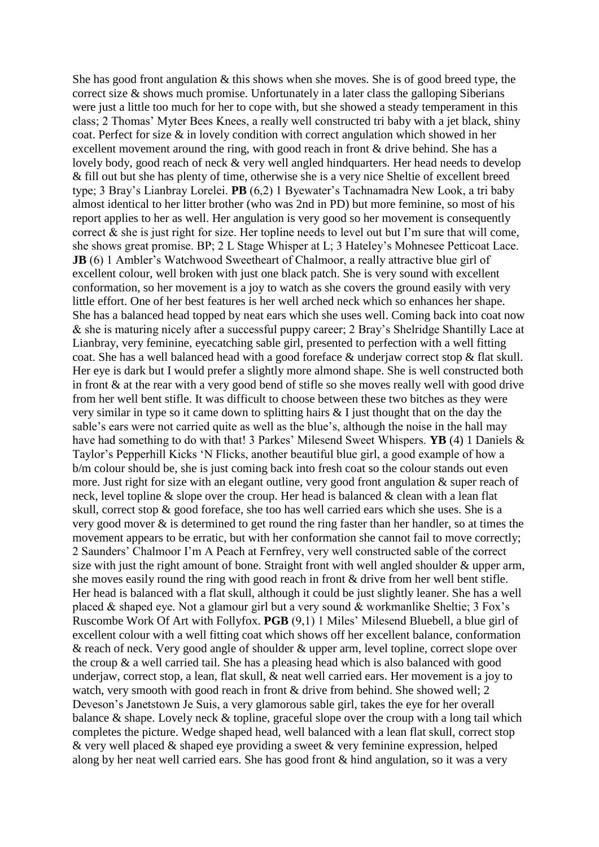She has good front angulation  $\&$  this shows when she moves. She is of good breed type, the correct size & shows much promise. Unfortunately in a later class the galloping Siberians were just a little too much for her to cope with, but she showed a steady temperament in this class; 2 Thomas' Myter Bees Knees, a really well constructed tri baby with a jet black, shiny coat. Perfect for size & in lovely condition with correct angulation which showed in her excellent movement around the ring, with good reach in front & drive behind. She has a lovely body, good reach of neck & very well angled hindquarters. Her head needs to develop & fill out but she has plenty of time, otherwise she is a very nice Sheltie of excellent breed type; 3 Bray's Lianbray Lorelei. **PB** (6,2) 1 Byewater's Tachnamadra New Look, a tri baby almost identical to her litter brother (who was 2nd in PD) but more feminine, so most of his report applies to her as well. Her angulation is very good so her movement is consequently correct  $\&$  she is just right for size. Her topline needs to level out but I'm sure that will come, she shows great promise. BP; 2 L Stage Whisper at L; 3 Hateley's Mohnesee Petticoat Lace. **JB** (6) 1 Ambler's Watchwood Sweetheart of Chalmoor, a really attractive blue girl of excellent colour, well broken with just one black patch. She is very sound with excellent conformation, so her movement is a joy to watch as she covers the ground easily with very little effort. One of her best features is her well arched neck which so enhances her shape. She has a balanced head topped by neat ears which she uses well. Coming back into coat now & she is maturing nicely after a successful puppy career; 2 Bray's Shelridge Shantilly Lace at Lianbray, very feminine, eyecatching sable girl, presented to perfection with a well fitting coat. She has a well balanced head with a good foreface & underjaw correct stop & flat skull. Her eye is dark but I would prefer a slightly more almond shape. She is well constructed both in front & at the rear with a very good bend of stifle so she moves really well with good drive from her well bent stifle. It was difficult to choose between these two bitches as they were very similar in type so it came down to splitting hairs & I just thought that on the day the sable's ears were not carried quite as well as the blue's, although the noise in the hall may have had something to do with that! 3 Parkes' Milesend Sweet Whispers. **YB** (4) 1 Daniels & Taylor's Pepperhill Kicks 'N Flicks, another beautiful blue girl, a good example of how a b/m colour should be, she is just coming back into fresh coat so the colour stands out even more. Just right for size with an elegant outline, very good front angulation & super reach of neck, level topline & slope over the croup. Her head is balanced & clean with a lean flat skull, correct stop & good foreface, she too has well carried ears which she uses. She is a very good mover & is determined to get round the ring faster than her handler, so at times the movement appears to be erratic, but with her conformation she cannot fail to move correctly; 2 Saunders' Chalmoor I'm A Peach at Fernfrey, very well constructed sable of the correct size with just the right amount of bone. Straight front with well angled shoulder  $\&$  upper arm, she moves easily round the ring with good reach in front & drive from her well bent stifle. Her head is balanced with a flat skull, although it could be just slightly leaner. She has a well placed  $&$  shaped eye. Not a glamour girl but a very sound  $&$  workmanlike Sheltie; 3 Fox's Ruscombe Work Of Art with Follyfox. **PGB** (9,1) 1 Miles' Milesend Bluebell, a blue girl of excellent colour with a well fitting coat which shows off her excellent balance, conformation & reach of neck. Very good angle of shoulder & upper arm, level topline, correct slope over the croup & a well carried tail. She has a pleasing head which is also balanced with good underjaw, correct stop, a lean, flat skull, & neat well carried ears. Her movement is a joy to watch, very smooth with good reach in front & drive from behind. She showed well; 2 Deveson's Janetstown Je Suis, a very glamorous sable girl, takes the eye for her overall balance & shape. Lovely neck & topline, graceful slope over the croup with a long tail which completes the picture. Wedge shaped head, well balanced with a lean flat skull, correct stop & very well placed & shaped eye providing a sweet & very feminine expression, helped along by her neat well carried ears. She has good front & hind angulation, so it was a very